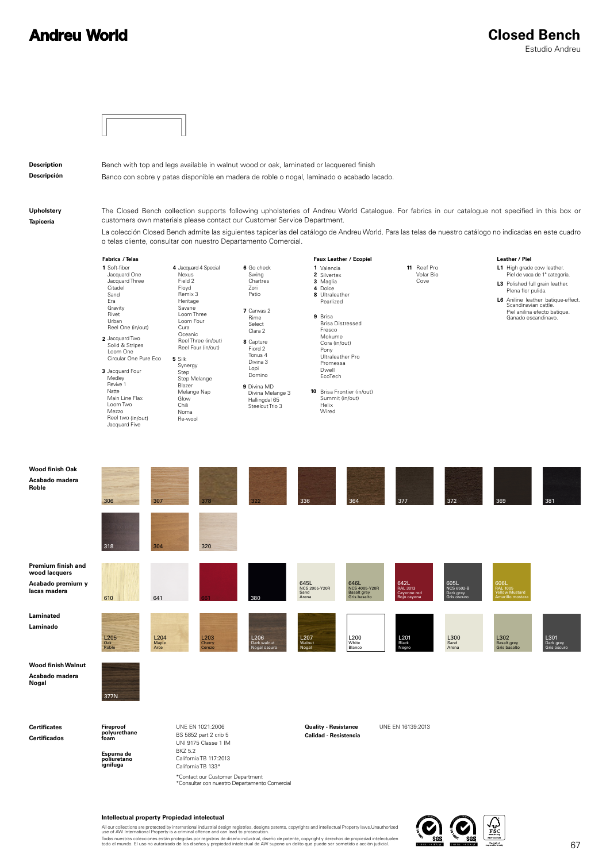### **Andreu World**



#### **Intellectual property Propiedad intelectual**

All our collections are protected by international industrial design registries, designs patents, copyrights and intellectual Property laws.Unauthorized<br>use of AW International Property is a criminal offence and can lead t Todas nuestras colecciones están protegidas por registros de diseño industrial, diseño de patente, copyright y derechos de propiedad intelectualen<br>todo el mundo. El uso no autorizado de los diseños y propiedad intelectual

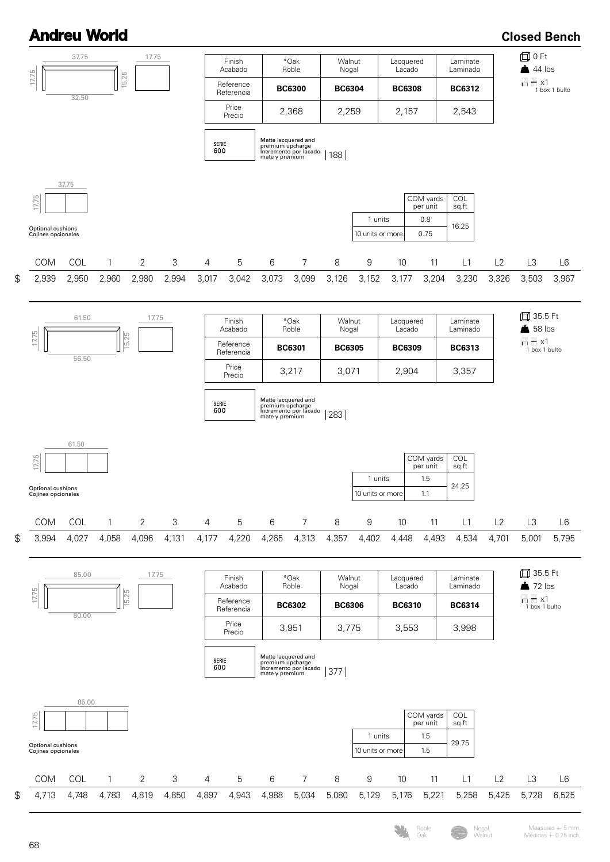## **Andreu World**

**Closed Bench**

Measures +- 5 mm. Medidas +- 0.25 inch.

Roble Oak

Nogal Walnut